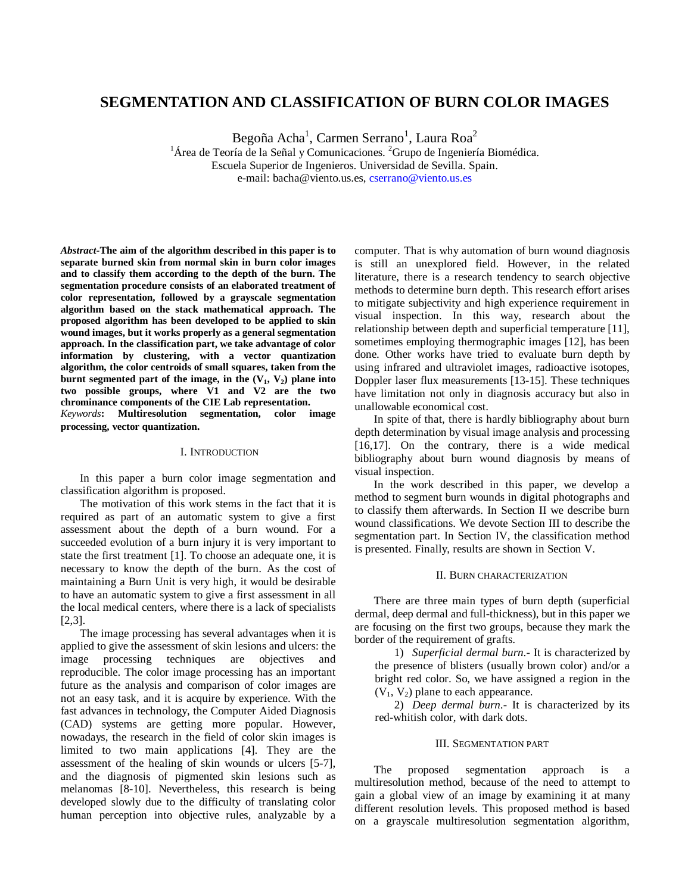# **SEGMENTATION AND CLASSIFICATION OF BURN COLOR IMAGES**

Begoña Acha<sup>1</sup>, Carmen Serrano<sup>1</sup>, Laura Roa<sup>2</sup>

<sup>1</sup>Área de Teoría de la Señal y Comunicaciones. <sup>2</sup>Grupo de Ingeniería Biomédica. Escuela Superior de Ingenieros. Universidad de Sevilla. Spain. e-mail: bacha@viento.us.es, cserrano@viento.us.es

*Abstract-***The aim of the algorithm described in this paper is to separate burned skin from normal skin in burn color images and to classify them according to the depth of the burn. The segmentation procedure consists of an elaborated treatment of color representation, followed by a grayscale segmentation algorithm based on the stack mathematical approach. The proposed algorithm has been developed to be applied to skin wound images, but it works properly as a general segmentation approach. In the classification part, we take advantage of color information by clustering, with a vector quantization algorithm, the color centroids of small squares, taken from the burnt segmented part of the image, in the (V1, V2) plane into two possible groups, where V1 and V2 are the two chrominance components of the CIE Lab representation.**

*Keywords***: Multiresolution segmentation, color image processing, vector quantization.**

### I. INTRODUCTION

In this paper a burn color image segmentation and classification algorithm is proposed.

The motivation of this work stems in the fact that it is required as part of an automatic system to give a first assessment about the depth of a burn wound. For a succeeded evolution of a burn injury it is very important to state the first treatment [1]. To choose an adequate one, it is necessary to know the depth of the burn. As the cost of maintaining a Burn Unit is very high, it would be desirable to have an automatic system to give a first assessment in all the local medical centers, where there is a lack of specialists [2,3].

The image processing has several advantages when it is applied to give the assessment of skin lesions and ulcers: the image processing techniques are objectives and reproducible. The color image processing has an important future as the analysis and comparison of color images are not an easy task, and it is acquire by experience. With the fast advances in technology, the Computer Aided Diagnosis (CAD) systems are getting more popular. However, nowadays, the research in the field of color skin images is limited to two main applications [4]. They are the assessment of the healing of skin wounds or ulcers [5-7], and the diagnosis of pigmented skin lesions such as melanomas [8-10]. Nevertheless, this research is being developed slowly due to the difficulty of translating color human perception into objective rules, analyzable by a

computer. That is why automation of burn wound diagnosis is still an unexplored field. However, in the related literature, there is a research tendency to search objective methods to determine burn depth. This research effort arises to mitigate subjectivity and high experience requirement in visual inspection. In this way, research about the relationship between depth and superficial temperature [11], sometimes employing thermographic images [12], has been done. Other works have tried to evaluate burn depth by using infrared and ultraviolet images, radioactive isotopes, Doppler laser flux measurements [13-15]. These techniques have limitation not only in diagnosis accuracy but also in unallowable economical cost.

In spite of that, there is hardly bibliography about burn depth determination by visual image analysis and processing [16,17]. On the contrary, there is a wide medical bibliography about burn wound diagnosis by means of visual inspection.

In the work described in this paper, we develop a method to segment burn wounds in digital photographs and to classify them afterwards. In Section II we describe burn wound classifications. We devote Section III to describe the segmentation part. In Section IV, the classification method is presented. Finally, results are shown in Section V.

# II. BURN CHARACTERIZATION

There are three main types of burn depth (superficial dermal, deep dermal and full-thickness), but in this paper we are focusing on the first two groups, because they mark the border of the requirement of grafts.

1) *Superficial dermal burn*.- It is characterized by the presence of blisters (usually brown color) and/or a bright red color. So, we have assigned a region in the  $(V_1, V_2)$  plane to each appearance.

2) *Deep dermal burn*.- It is characterized by its red-whitish color, with dark dots.

#### III. SEGMENTATION PART

The proposed segmentation approach is a multiresolution method, because of the need to attempt to gain a global view of an image by examining it at many different resolution levels. This proposed method is based on a grayscale multiresolution segmentation algorithm,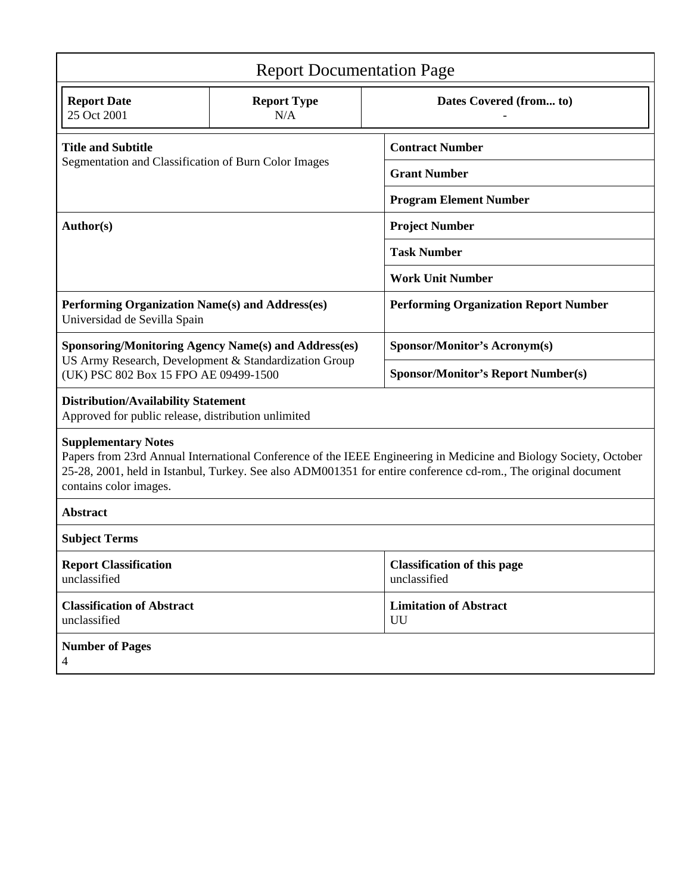| <b>Report Documentation Page</b>                                                                                                                                                                                                                                                            |                           |                                                    |  |  |
|---------------------------------------------------------------------------------------------------------------------------------------------------------------------------------------------------------------------------------------------------------------------------------------------|---------------------------|----------------------------------------------------|--|--|
| <b>Report Date</b><br>25 Oct 2001                                                                                                                                                                                                                                                           | <b>Report Type</b><br>N/A | Dates Covered (from to)                            |  |  |
| <b>Title and Subtitle</b><br>Segmentation and Classification of Burn Color Images                                                                                                                                                                                                           |                           | <b>Contract Number</b>                             |  |  |
|                                                                                                                                                                                                                                                                                             |                           | <b>Grant Number</b>                                |  |  |
|                                                                                                                                                                                                                                                                                             |                           | <b>Program Element Number</b>                      |  |  |
| Author(s)                                                                                                                                                                                                                                                                                   |                           | <b>Project Number</b>                              |  |  |
|                                                                                                                                                                                                                                                                                             |                           | <b>Task Number</b>                                 |  |  |
|                                                                                                                                                                                                                                                                                             |                           | <b>Work Unit Number</b>                            |  |  |
| Performing Organization Name(s) and Address(es)<br>Universidad de Sevilla Spain                                                                                                                                                                                                             |                           | <b>Performing Organization Report Number</b>       |  |  |
| <b>Sponsoring/Monitoring Agency Name(s) and Address(es)</b><br>US Army Research, Development & Standardization Group<br>(UK) PSC 802 Box 15 FPO AE 09499-1500                                                                                                                               |                           | <b>Sponsor/Monitor's Acronym(s)</b>                |  |  |
|                                                                                                                                                                                                                                                                                             |                           | <b>Sponsor/Monitor's Report Number(s)</b>          |  |  |
| <b>Distribution/Availability Statement</b><br>Approved for public release, distribution unlimited                                                                                                                                                                                           |                           |                                                    |  |  |
| <b>Supplementary Notes</b><br>Papers from 23rd Annual International Conference of the IEEE Engineering in Medicine and Biology Society, October<br>25-28, 2001, held in Istanbul, Turkey. See also ADM001351 for entire conference cd-rom., The original document<br>contains color images. |                           |                                                    |  |  |
| <b>Abstract</b>                                                                                                                                                                                                                                                                             |                           |                                                    |  |  |
| <b>Subject Terms</b>                                                                                                                                                                                                                                                                        |                           |                                                    |  |  |
| <b>Report Classification</b><br>unclassified                                                                                                                                                                                                                                                |                           | <b>Classification of this page</b><br>unclassified |  |  |
| <b>Classification of Abstract</b><br>unclassified                                                                                                                                                                                                                                           |                           | <b>Limitation of Abstract</b><br>UU                |  |  |
| <b>Number of Pages</b><br>$\overline{4}$                                                                                                                                                                                                                                                    |                           |                                                    |  |  |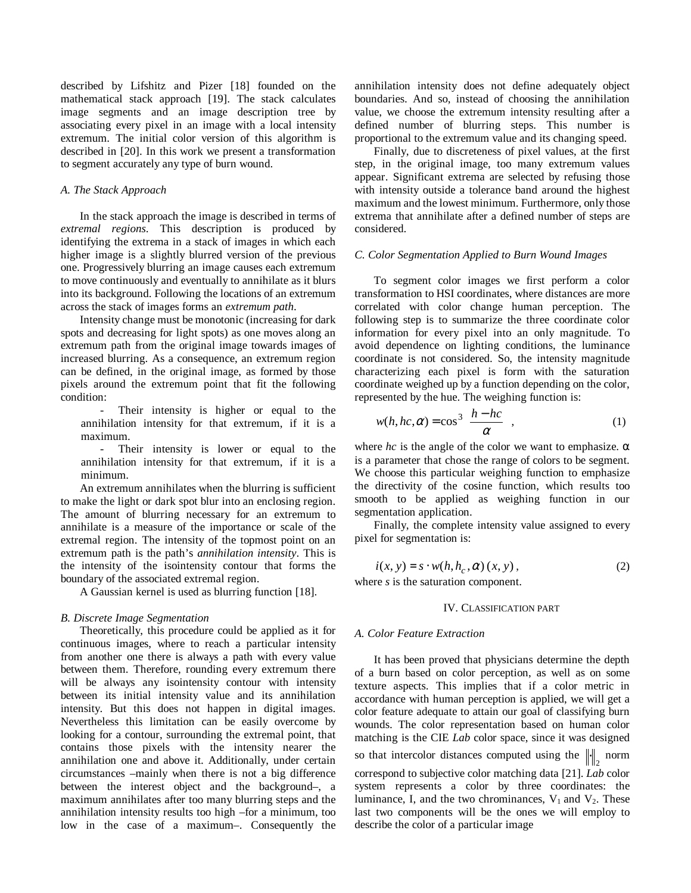described by Lifshitz and Pizer [18] founded on the mathematical stack approach [19]. The stack calculates image segments and an image description tree by associating every pixel in an image with a local intensity extremum. The initial color version of this algorithm is described in [20]. In this work we present a transformation to segment accurately any type of burn wound.

#### *A. The Stack Approach*

In the stack approach the image is described in terms of *extremal regions*. This description is produced by identifying the extrema in a stack of images in which each higher image is a slightly blurred version of the previous one. Progressively blurring an image causes each extremum to move continuously and eventually to annihilate as it blurs into its background. Following the locations of an extremum across the stack of images forms an *extremum path*.

Intensity change must be monotonic (increasing for dark spots and decreasing for light spots) as one moves along an extremum path from the original image towards images of increased blurring. As a consequence, an extremum region can be defined, in the original image, as formed by those pixels around the extremum point that fit the following condition:

Their intensity is higher or equal to the annihilation intensity for that extremum, if it is a maximum.

Their intensity is lower or equal to the annihilation intensity for that extremum, if it is a minimum.

An extremum annihilates when the blurring is sufficient to make the light or dark spot blur into an enclosing region. The amount of blurring necessary for an extremum to annihilate is a measure of the importance or scale of the extremal region. The intensity of the topmost point on an extremum path is the path's *annihilation intensity*. This is the intensity of the isointensity contour that forms the boundary of the associated extremal region.

A Gaussian kernel is used as blurring function [18].

#### *B. Discrete Image Segmentation*

Theoretically, this procedure could be applied as it for continuous images, where to reach a particular intensity from another one there is always a path with every value between them. Therefore, rounding every extremum there will be always any isointensity contour with intensity between its initial intensity value and its annihilation intensity. But this does not happen in digital images. Nevertheless this limitation can be easily overcome by looking for a contour, surrounding the extremal point, that contains those pixels with the intensity nearer the annihilation one and above it. Additionally, under certain circumstances –mainly when there is not a big difference between the interest object and the background–, a maximum annihilates after too many blurring steps and the annihilation intensity results too high –for a minimum, too low in the case of a maximum–. Consequently the

annihilation intensity does not define adequately object boundaries. And so, instead of choosing the annihilation value, we choose the extremum intensity resulting after a defined number of blurring steps. This number is proportional to the extremum value and its changing speed.

Finally, due to discreteness of pixel values, at the first step, in the original image, too many extremum values appear. Significant extrema are selected by refusing those with intensity outside a tolerance band around the highest maximum and the lowest minimum. Furthermore, only those extrema that annihilate after a defined number of steps are considered.

## *C. Color Segmentation Applied to Burn Wound Images*

To segment color images we first perform a color transformation to HSI coordinates, where distances are more correlated with color change human perception. The following step is to summarize the three coordinate color information for every pixel into an only magnitude. To avoid dependence on lighting conditions, the luminance coordinate is not considered. So, the intensity magnitude characterizing each pixel is form with the saturation coordinate weighed up by a function depending on the color, represented by the hue. The weighing function is:

$$
w(h, hc, \alpha) = \cos^3\left(\frac{h - hc}{\alpha}\right),\tag{1}
$$

where  $hc$  is the angle of the color we want to emphasize.  $\alpha$ is a parameter that chose the range of colors to be segment. We choose this particular weighing function to emphasize the directivity of the cosine function, which results too smooth to be applied as weighing function in our segmentation application.

Finally, the complete intensity value assigned to every pixel for segmentation is:

$$
i(x, y) = s \cdot w(h, h_c, \alpha) (x, y), \qquad (2)
$$

where *s* is the saturation component.

# IV. CLASSIFICATION PART

#### *A. Color Feature Extraction*

It has been proved that physicians determine the depth of a burn based on color perception, as well as on some texture aspects. This implies that if a color metric in accordance with human perception is applied, we will get a color feature adequate to attain our goal of classifying burn wounds. The color representation based on human color matching is the CIE *Lab* color space, since it was designed so that intercolor distances computed using the  $\left\| \cdot \right\|_2$  norm correspond to subjective color matching data [21]. *Lab* color system represents a color by three coordinates: the luminance, I, and the two chrominances,  $V_1$  and  $V_2$ . These last two components will be the ones we will employ to describe the color of a particular image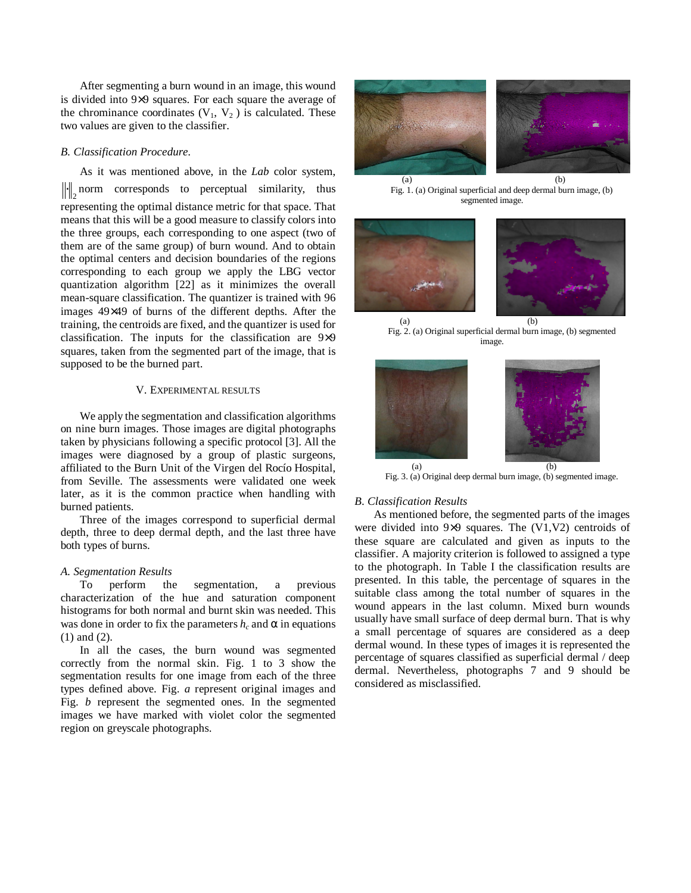After segmenting a burn wound in an image, this wound is divided into 9×9 squares. For each square the average of the chrominance coordinates  $(V_1, V_2)$  is calculated. These two values are given to the classifier.

# *B. Classification Procedure.*

As it was mentioned above, in the *Lab* color system,  $\left\| \cdot \right\|_2$  norm corresponds to perceptual similarity, thus representing the optimal distance metric for that space. That means that this will be a good measure to classify colors into the three groups, each corresponding to one aspect (two of them are of the same group) of burn wound. And to obtain the optimal centers and decision boundaries of the regions corresponding to each group we apply the LBG vector quantization algorithm [22] as it minimizes the overall mean-square classification. The quantizer is trained with 96 images 49×49 of burns of the different depths. After the training, the centroids are fixed, and the quantizer is used for classification. The inputs for the classification are 9×9 squares, taken from the segmented part of the image, that is supposed to be the burned part.

## V. EXPERIMENTAL RESULTS

We apply the segmentation and classification algorithms on nine burn images. Those images are digital photographs taken by physicians following a specific protocol [3]. All the images were diagnosed by a group of plastic surgeons, affiliated to the Burn Unit of the Virgen del Rocío Hospital, from Seville. The assessments were validated one week later, as it is the common practice when handling with burned patients.

Three of the images correspond to superficial dermal depth, three to deep dermal depth, and the last three have both types of burns.

# *A. Segmentation Results*

To perform the segmentation, a previous characterization of the hue and saturation component histograms for both normal and burnt skin was needed. This was done in order to fix the parameters  $h_c$  and  $\alpha$  in equations (1) and (2).

In all the cases, the burn wound was segmented correctly from the normal skin. Fig. 1 to 3 show the segmentation results for one image from each of the three types defined above. Fig. *a* represent original images and Fig. *b* represent the segmented ones. In the segmented images we have marked with violet color the segmented region on greyscale photographs.



 $(a)$  (b) Fig. 1. (a) Original superficial and deep dermal burn image, (b) segmented image.



Fig. 2. (a) Original superficial dermal burn image, (b) segmented image.



Fig. 3. (a) Original deep dermal burn image, (b) segmented image.

# *B*. *Classification Results*

As mentioned before, the segmented parts of the images were divided into 9×9 squares. The (V1,V2) centroids of these square are calculated and given as inputs to the classifier. A majority criterion is followed to assigned a type to the photograph. In Table I the classification results are presented. In this table, the percentage of squares in the suitable class among the total number of squares in the wound appears in the last column. Mixed burn wounds usually have small surface of deep dermal burn. That is why a small percentage of squares are considered as a deep dermal wound. In these types of images it is represented the percentage of squares classified as superficial dermal / deep dermal. Nevertheless, photographs 7 and 9 should be considered as misclassified.